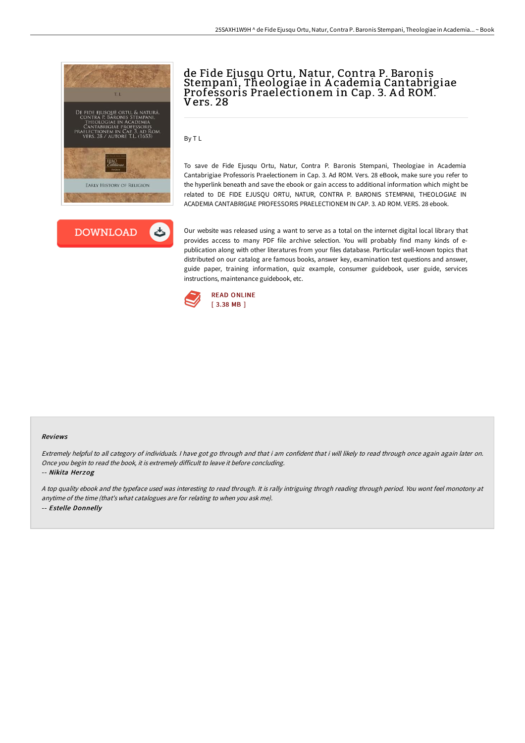



# de Fide Ejusqu Ortu, Natur, Contra P. Baronis Stempani, Theologiae in A cademia Cantabrigiae Professoris Praelectionem in Cap. 3. A d ROM. Vers. 28

By T L

To save de Fide Ejusqu Ortu, Natur, Contra P. Baronis Stempani, Theologiae in Academia Cantabrigiae Professoris Praelectionem in Cap. 3. Ad ROM. Vers. 28 eBook, make sure you refer to the hyperlink beneath and save the ebook or gain access to additional information which might be related to DE FIDE EJUSQU ORTU, NATUR, CONTRA P. BARONIS STEMPANI, THEOLOGIAE IN ACADEMIA CANTABRIGIAE PROFESSORIS PRAELECTIONEM IN CAP. 3. AD ROM. VERS. 28 ebook.

Our website was released using a want to serve as a total on the internet digital local library that provides access to many PDF file archive selection. You will probably find many kinds of epublication along with other literatures from your files database. Particular well-known topics that distributed on our catalog are famous books, answer key, examination test questions and answer, guide paper, training information, quiz example, consumer guidebook, user guide, services instructions, maintenance guidebook, etc.



#### Reviews

Extremely helpful to all category of individuals. I have got go through and that i am confident that i will likely to read through once again again later on. Once you begin to read the book, it is extremely difficult to leave it before concluding.

-- Nikita Herzog

<sup>A</sup> top quality ebook and the typeface used was interesting to read through. It is rally intriguing throgh reading through period. You wont feel monotony at anytime of the time (that's what catalogues are for relating to when you ask me). -- Estelle Donnelly